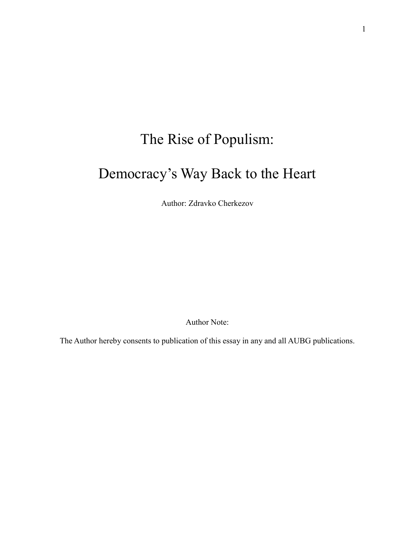## The Rise of Populism: Democracy's Way Back to the Heart

Author: Zdravko Cherkezov

Author Note:

The Author hereby consents to publication of this essay in any and all AUBG publications.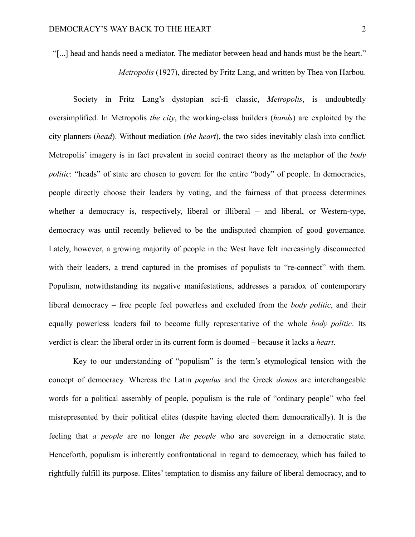"[...] head and hands need a mediator. The mediator between head and hands must be the heart." *Metropolis* (1927), directed by Fritz Lang, and written by Thea von Harbou.

Society in Fritz Lang's dystopian sci-fi classic, *Metropolis*, is undoubtedly oversimplified. In Metropolis *the city*, the working-class builders (*hands*) are exploited by the city planners (*head*). Without mediation (*the heart*), the two sides inevitably clash into conflict. Metropolis' imagery is in fact prevalent in social contract theory as the metaphor of the *body politic*: "heads" of state are chosen to govern for the entire "body" of people. In democracies, people directly choose their leaders by voting, and the fairness of that process determines whether a democracy is, respectively, liberal or illiberal – and liberal, or Western-type, democracy was until recently believed to be the undisputed champion of good governance. Lately, however, a growing majority of people in the West have felt increasingly disconnected with their leaders, a trend captured in the promises of populists to "re-connect" with them. Populism, notwithstanding its negative manifestations, addresses a paradox of contemporary liberal democracy – free people feel powerless and excluded from the *body politic*, and their equally powerless leaders fail to become fully representative of the whole *body politic*. Its verdict is clear: the liberal order in its current form is doomed – because it lacks a *heart*.

Key to our understanding of "populism" is the term's etymological tension with the concept of democracy. Whereas the Latin *populus* and the Greek *demos* are interchangeable words for a political assembly of people, populism is the rule of "ordinary people" who feel misrepresented by their political elites (despite having elected them democratically). It is the feeling that *a people* are no longer *the people* who are sovereign in a democratic state. Henceforth, populism is inherently confrontational in regard to democracy, which has failed to rightfully fulfill its purpose. Elites' temptation to dismiss any failure of liberal democracy, and to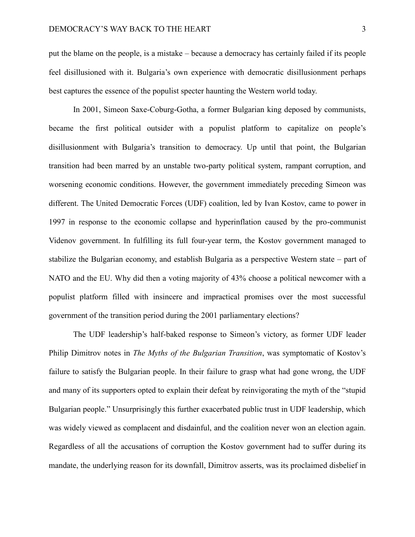put the blame on the people, is a mistake – because a democracy has certainly failed if its people feel disillusioned with it. Bulgaria's own experience with democratic disillusionment perhaps best captures the essence of the populist specter haunting the Western world today.

In 2001, Simeon Saxe-Coburg-Gotha, a former Bulgarian king deposed by communists, became the first political outsider with a populist platform to capitalize on people's disillusionment with Bulgaria's transition to democracy. Up until that point, the Bulgarian transition had been marred by an unstable two-party political system, rampant corruption, and worsening economic conditions. However, the government immediately preceding Simeon was different. The United Democratic Forces (UDF) coalition, led by Ivan Kostov, came to power in 1997 in response to the economic collapse and hyperinflation caused by the pro-communist Videnov government. In fulfilling its full four-year term, the Kostov government managed to stabilize the Bulgarian economy, and establish Bulgaria as a perspective Western state – part of NATO and the EU. Why did then a voting majority of 43% choose a political newcomer with a populist platform filled with insincere and impractical promises over the most successful government of the transition period during the 2001 parliamentary elections?

The UDF leadership's half-baked response to Simeon's victory, as former UDF leader Philip Dimitrov notes in *The Myths of the Bulgarian Transition*, was symptomatic of Kostov's failure to satisfy the Bulgarian people. In their failure to grasp what had gone wrong, the UDF and many of its supporters opted to explain their defeat by reinvigorating the myth of the "stupid Bulgarian people." Unsurprisingly this further exacerbated public trust in UDF leadership, which was widely viewed as complacent and disdainful, and the coalition never won an election again. Regardless of all the accusations of corruption the Kostov government had to suffer during its mandate, the underlying reason for its downfall, Dimitrov asserts, was its proclaimed disbelief in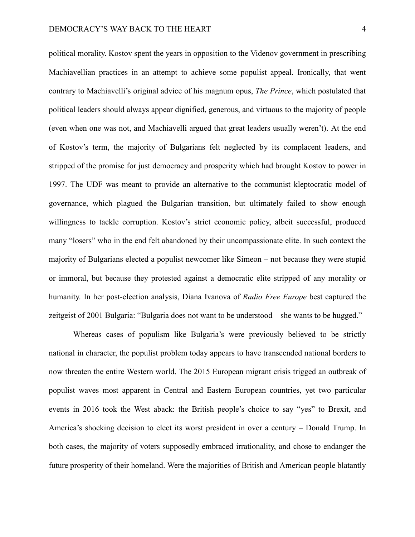political morality. Kostov spent the years in opposition to the Videnov government in prescribing Machiavellian practices in an attempt to achieve some populist appeal. Ironically, that went contrary to Machiavelli's original advice of his magnum opus, *The Prince*, which postulated that political leaders should always appear dignified, generous, and virtuous to the majority of people (even when one was not, and Machiavelli argued that great leaders usually weren't). At the end of Kostov's term, the majority of Bulgarians felt neglected by its complacent leaders, and stripped of the promise for just democracy and prosperity which had brought Kostov to power in 1997. The UDF was meant to provide an alternative to the communist kleptocratic model of governance, which plagued the Bulgarian transition, but ultimately failed to show enough willingness to tackle corruption. Kostov's strict economic policy, albeit successful, produced many "losers" who in the end felt abandoned by their uncompassionate elite. In such context the majority of Bulgarians elected a populist newcomer like Simeon – not because they were stupid or immoral, but because they protested against a democratic elite stripped of any morality or humanity. In her post-election analysis, Diana Ivanova of *Radio Free Europe* best captured the zeitgeist of 2001 Bulgaria: "Bulgaria does not want to be understood – she wants to be hugged."

Whereas cases of populism like Bulgaria's were previously believed to be strictly national in character, the populist problem today appears to have transcended national borders to now threaten the entire Western world. The 2015 European migrant crisis trigged an outbreak of populist waves most apparent in Central and Eastern European countries, yet two particular events in 2016 took the West aback: the British people's choice to say "yes" to Brexit, and America's shocking decision to elect its worst president in over a century – Donald Trump. In both cases, the majority of voters supposedly embraced irrationality, and chose to endanger the future prosperity of their homeland. Were the majorities of British and American people blatantly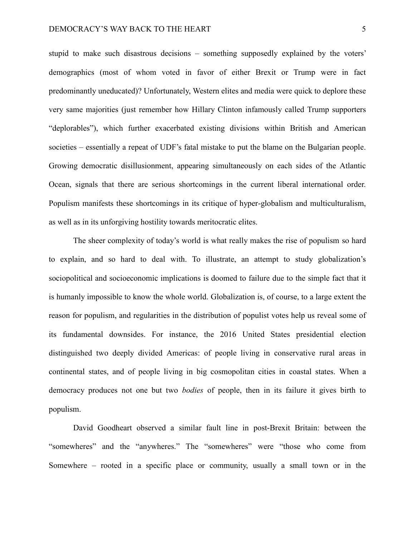stupid to make such disastrous decisions – something supposedly explained by the voters' demographics (most of whom voted in favor of either Brexit or Trump were in fact predominantly uneducated)? Unfortunately, Western elites and media were quick to deplore these very same majorities (just remember how Hillary Clinton infamously called Trump supporters "deplorables"), which further exacerbated existing divisions within British and American societies – essentially a repeat of UDF's fatal mistake to put the blame on the Bulgarian people. Growing democratic disillusionment, appearing simultaneously on each sides of the Atlantic Ocean, signals that there are serious shortcomings in the current liberal international order. Populism manifests these shortcomings in its critique of hyper-globalism and multiculturalism, as well as in its unforgiving hostility towards meritocratic elites.

The sheer complexity of today's world is what really makes the rise of populism so hard to explain, and so hard to deal with. To illustrate, an attempt to study globalization's sociopolitical and socioeconomic implications is doomed to failure due to the simple fact that it is humanly impossible to know the whole world. Globalization is, of course, to a large extent the reason for populism, and regularities in the distribution of populist votes help us reveal some of its fundamental downsides. For instance, the 2016 United States presidential election distinguished two deeply divided Americas: of people living in conservative rural areas in continental states, and of people living in big cosmopolitan cities in coastal states. When a democracy produces not one but two *bodies* of people, then in its failure it gives birth to populism.

David Goodheart observed a similar fault line in post-Brexit Britain: between the "somewheres" and the "anywheres." The "somewheres" were "those who come from Somewhere – rooted in a specific place or community, usually a small town or in the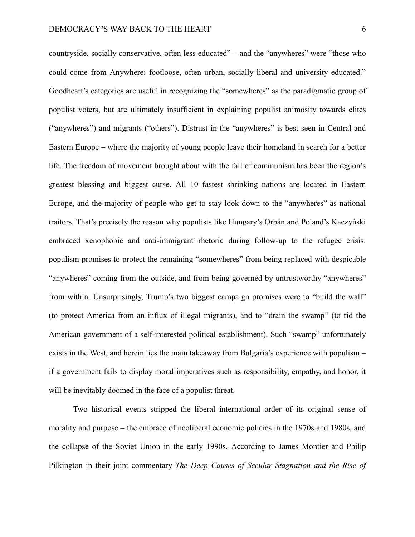countryside, socially conservative, often less educated" – and the "anywheres" were "those who could come from Anywhere: footloose, often urban, socially liberal and university educated." Goodheart's categories are useful in recognizing the "somewheres" as the paradigmatic group of populist voters, but are ultimately insufficient in explaining populist animosity towards elites ("anywheres") and migrants ("others"). Distrust in the "anywheres" is best seen in Central and Eastern Europe – where the majority of young people leave their homeland in search for a better life. The freedom of movement brought about with the fall of communism has been the region's greatest blessing and biggest curse. All 10 fastest shrinking nations are located in Eastern Europe, and the majority of people who get to stay look down to the "anywheres" as national traitors. That's precisely the reason why populists like Hungary's Orbán and Poland's Kaczyński embraced xenophobic and anti-immigrant rhetoric during follow-up to the refugee crisis: populism promises to protect the remaining "somewheres" from being replaced with despicable "anywheres" coming from the outside, and from being governed by untrustworthy "anywheres" from within. Unsurprisingly, Trump's two biggest campaign promises were to "build the wall" (to protect America from an influx of illegal migrants), and to "drain the swamp" (to rid the American government of a self-interested political establishment). Such "swamp" unfortunately exists in the West, and herein lies the main takeaway from Bulgaria's experience with populism – if a government fails to display moral imperatives such as responsibility, empathy, and honor, it will be inevitably doomed in the face of a populist threat.

Two historical events stripped the liberal international order of its original sense of morality and purpose – the embrace of neoliberal economic policies in the 1970s and 1980s, and the collapse of the Soviet Union in the early 1990s. According to James Montier and Philip Pilkington in their joint commentary *The Deep Causes of Secular Stagnation and the Rise of*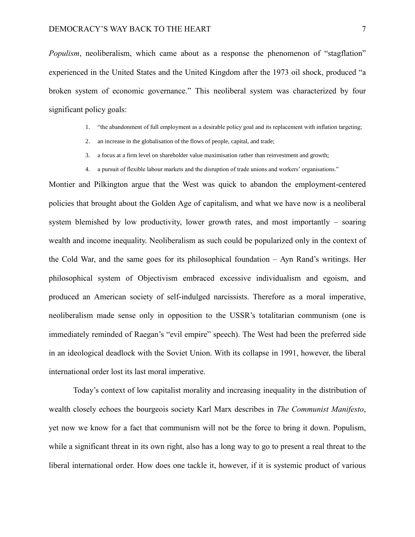*Populism*, neoliberalism, which came about as a response the phenomenon of "stagflation" experienced in the United States and the United Kingdom after the 1973 oil shock, produced "a broken system of economic governance." This neoliberal system was characterized by four significant policy goals:

- 1. "the abandonment of full employment as a desirable policy goal and its replacement with inflation targeting;
- 2. an increase in the globalisation of the flows of people, capital, and trade;
- 3. a focus at a firm level on shareholder value maximisation rather than reinvestment and growth;
- 4. a pursuit of flexible labour markets and the disruption of trade unions and workers' organisations."

Montier and Pilkington argue that the West was quick to abandon the employment-centered policies that brought about the Golden Age of capitalism, and what we have now is a neoliberal system blemished by low productivity, lower growth rates, and most importantly – soaring wealth and income inequality. Neoliberalism as such could be popularized only in the context of the Cold War, and the same goes for its philosophical foundation – Ayn Rand's writings. Her philosophical system of Objectivism embraced excessive individualism and egoism, and produced an American society of self-indulged narcissists. Therefore as a moral imperative, neoliberalism made sense only in opposition to the USSR's totalitarian communism (one is immediately reminded of Raegan's "evil empire" speech). The West had been the preferred side in an ideological deadlock with the Soviet Union. With its collapse in 1991, however, the liberal international order lost its last moral imperative.

Today's context of low capitalist morality and increasing inequality in the distribution of wealth closely echoes the bourgeois society Karl Marx describes in *The Communist Manifesto*, yet now we know for a fact that communism will not be the force to bring it down. Populism, while a significant threat in its own right, also has a long way to go to present a real threat to the liberal international order. How does one tackle it, however, if it is systemic product of various